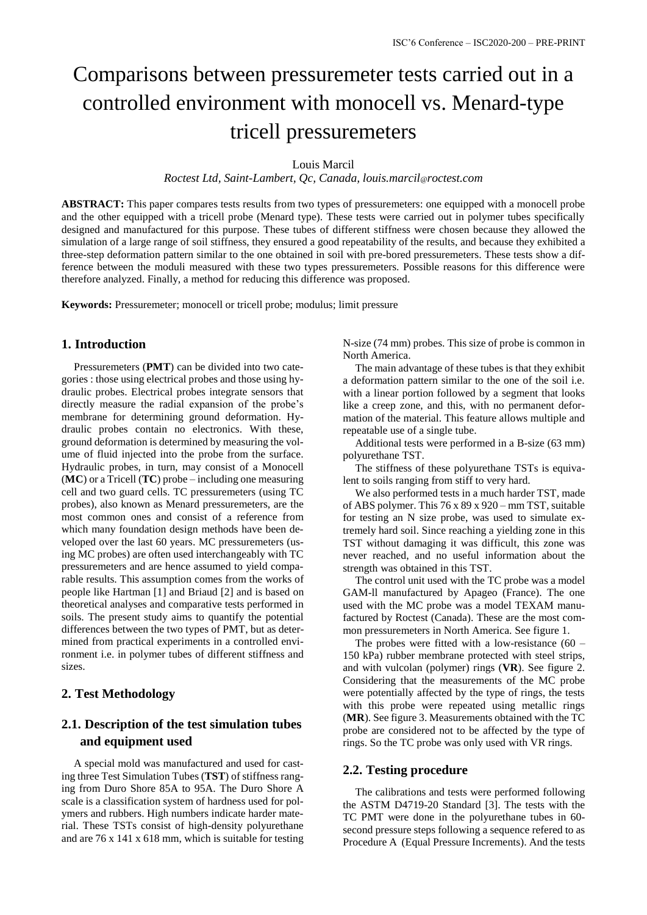# Comparisons between pressuremeter tests carried out in a controlled environment with monocell vs. Menard-type tricell pressuremeters

Louis Marcil

*Roctest Ltd, Saint-Lambert, Qc, Canada, louis.marcil@roctest.com*

**ABSTRACT:** This paper compares tests results from two types of pressuremeters: one equipped with a monocell probe and the other equipped with a tricell probe (Menard type). These tests were carried out in polymer tubes specifically designed and manufactured for this purpose. These tubes of different stiffness were chosen because they allowed the simulation of a large range of soil stiffness, they ensured a good repeatability of the results, and because they exhibited a three-step deformation pattern similar to the one obtained in soil with pre-bored pressuremeters. These tests show a difference between the moduli measured with these two types pressuremeters. Possible reasons for this difference were therefore analyzed. Finally, a method for reducing this difference was proposed.

**Keywords:** Pressuremeter; monocell or tricell probe; modulus; limit pressure

#### **1. Introduction**

Pressuremeters (**PMT**) can be divided into two categories : those using electrical probes and those using hydraulic probes. Electrical probes integrate sensors that directly measure the radial expansion of the probe's membrane for determining ground deformation. Hydraulic probes contain no electronics. With these, ground deformation is determined by measuring the volume of fluid injected into the probe from the surface. Hydraulic probes, in turn, may consist of a Monocell (**MC**) or a Tricell (**TC**) probe – including one measuring cell and two guard cells. TC pressuremeters (using TC probes), also known as Menard pressuremeters, are the most common ones and consist of a reference from which many foundation design methods have been developed over the last 60 years. MC pressuremeters (using MC probes) are often used interchangeably with TC pressuremeters and are hence assumed to yield comparable results. This assumption comes from the works of people like Hartman [1] and Briaud [2] and is based on theoretical analyses and comparative tests performed in soils. The present study aims to quantify the potential differences between the two types of PMT, but as determined from practical experiments in a controlled environment i.e. in polymer tubes of different stiffness and sizes.

## **2. Test Methodology**

# **2.1. Description of the test simulation tubes and equipment used**

A special mold was manufactured and used for casting three Test Simulation Tubes (**TST**) of stiffness ranging from Duro Shore 85A to 95A. The Duro Shore A scale is a classification system of hardness used for polymers and rubbers. High numbers indicate harder material. These TSTs consist of high-density polyurethane and are 76 x 141 x 618 mm, which is suitable for testing N-size (74 mm) probes. This size of probe is common in North America.

The main advantage of these tubes is that they exhibit a deformation pattern similar to the one of the soil i.e. with a linear portion followed by a segment that looks like a creep zone, and this, with no permanent deformation of the material. This feature allows multiple and repeatable use of a single tube.

Additional tests were performed in a B-size (63 mm) polyurethane TST.

The stiffness of these polyurethane TSTs is equivalent to soils ranging from stiff to very hard.

We also performed tests in a much harder TST, made of ABS polymer. This 76 x 89 x 920 – mm TST, suitable for testing an N size probe, was used to simulate extremely hard soil. Since reaching a yielding zone in this TST without damaging it was difficult, this zone was never reached, and no useful information about the strength was obtained in this TST.

The control unit used with the TC probe was a model GAM-ll manufactured by Apageo (France). The one used with the MC probe was a model TEXAM manufactured by Roctest (Canada). These are the most common pressuremeters in North America. See figure 1.

The probes were fitted with a low-resistance (60 – 150 kPa) rubber membrane protected with steel strips, and with vulcolan (polymer) rings (**VR**). See figure 2. Considering that the measurements of the MC probe were potentially affected by the type of rings, the tests with this probe were repeated using metallic rings (**MR**). See figure 3. Measurements obtained with the TC probe are considered not to be affected by the type of rings. So the TC probe was only used with VR rings.

#### **2.2. Testing procedure**

The calibrations and tests were performed following the ASTM D4719-20 Standard [3]. The tests with the TC PMT were done in the polyurethane tubes in 60 second pressure steps following a sequence refered to as Procedure A (Equal Pressure Increments). And the tests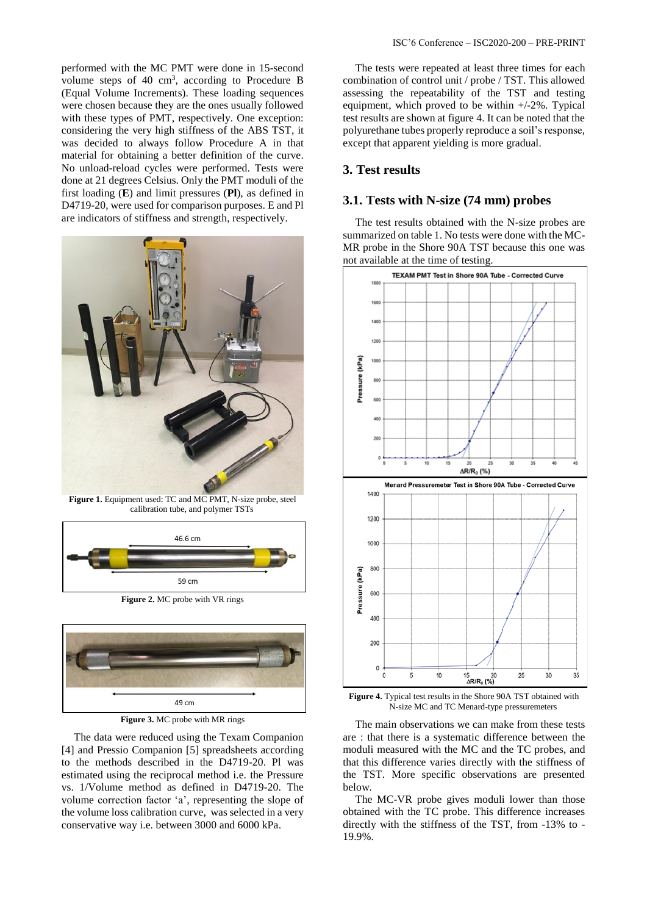performed with the MC PMT were done in 15-second volume steps of  $40 \text{ cm}^3$ , according to Procedure B (Equal Volume Increments). These loading sequences were chosen because they are the ones usually followed with these types of PMT, respectively. One exception: considering the very high stiffness of the ABS TST, it was decided to always follow Procedure A in that material for obtaining a better definition of the curve. No unload-reload cycles were performed. Tests were done at 21 degrees Celsius. Only the PMT moduli of the first loading (**E**) and limit pressures (**Pl**), as defined in D4719-20, were used for comparison purposes. E and Pl are indicators of stiffness and strength, respectively.



**Figure 1.** Equipment used: TC and MC PMT, N-size probe, steel calibration tube, and polymer TSTs



**Figure 2.** MC probe with VR rings



**Figure 3.** MC probe with MR rings

The data were reduced using the Texam Companion [4] and Pressio Companion [5] spreadsheets according to the methods described in the D4719-20. Pl was estimated using the reciprocal method i.e. the Pressure vs. 1/Volume method as defined in D4719-20. The volume correction factor 'a', representing the slope of the volume loss calibration curve, was selected in a very conservative way i.e. between 3000 and 6000 kPa.

The tests were repeated at least three times for each combination of control unit / probe / TST. This allowed assessing the repeatability of the TST and testing equipment, which proved to be within +/-2%. Typical test results are shown at figure 4. It can be noted that the polyurethane tubes properly reproduce a soil's response, except that apparent yielding is more gradual.

#### **3. Test results**

#### **3.1. Tests with N-size (74 mm) probes**

The test results obtained with the N-size probes are summarized on table 1. No tests were done with the MC-MR probe in the Shore 90A TST because this one was not available at the time of testing.



**Figure 4.** Typical test results in the Shore 90A TST obtained with N-size MC and TC Menard-type pressuremeters

The main observations we can make from these tests are : that there is a systematic difference between the moduli measured with the MC and the TC probes, and that this difference varies directly with the stiffness of the TST. More specific observations are presented below.

The MC-VR probe gives moduli lower than those obtained with the TC probe. This difference increases directly with the stiffness of the TST, from -13% to - 19.9%.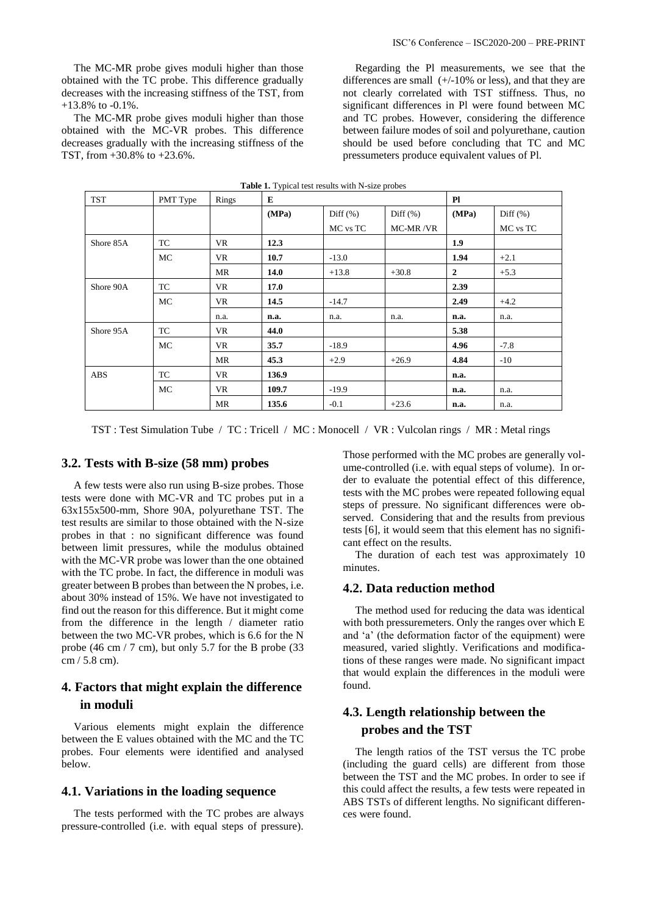The MC-MR probe gives moduli higher than those obtained with the MC-VR probes. This difference decreases gradually with the increasing stiffness of the TST, from +30.8% to +23.6%.

Regarding the Pl measurements, we see that the differences are small (+/-10% or less), and that they are not clearly correlated with TST stiffness. Thus, no significant differences in Pl were found between MC and TC probes. However, considering the difference between failure modes of soil and polyurethane, caution should be used before concluding that TC and MC pressumeters produce equivalent values of Pl.

| <b>Table 1.</b> Typical test results with N-size probes |           |           |       |             |             |                |             |  |
|---------------------------------------------------------|-----------|-----------|-------|-------------|-------------|----------------|-------------|--|
| TST                                                     | PMT Type  | Rings     | E     |             | P1          |                |             |  |
|                                                         |           |           | (MPa) | Diff $(\%)$ | Diff $(\%)$ | (MPa)          | Diff $(\%)$ |  |
|                                                         |           |           |       | MC vs TC    | MC-MR/VR    |                | MC vs TC    |  |
| Shore 85A                                               | TC        | <b>VR</b> | 12.3  |             |             | 1.9            |             |  |
|                                                         | MC        | VR        | 10.7  | $-13.0$     |             | 1.94           | $+2.1$      |  |
|                                                         |           | <b>MR</b> | 14.0  | $+13.8$     | $+30.8$     | $\overline{2}$ | $+5.3$      |  |
| Shore 90A                                               | TC        | VR        | 17.0  |             |             | 2.39           |             |  |
|                                                         | MC        | VR        | 14.5  | $-14.7$     |             | 2.49           | $+4.2$      |  |
|                                                         |           | n.a.      | n.a.  | n.a.        | n.a.        | n.a.           | n.a.        |  |
| Shore 95A                                               | TC        | VR        | 44.0  |             |             | 5.38           |             |  |
|                                                         | <b>MC</b> | VR        | 35.7  | $-18.9$     |             | 4.96           | $-7.8$      |  |
|                                                         |           | MR        | 45.3  | $+2.9$      | $+26.9$     | 4.84           | $-10$       |  |
| <b>ABS</b>                                              | TC        | VR        | 136.9 |             |             | n.a.           |             |  |
|                                                         | MC        | VR        | 109.7 | $-19.9$     |             | n.a.           | n.a.        |  |
|                                                         |           | <b>MR</b> | 135.6 | $-0.1$      | $+23.6$     | n.a.           | n.a.        |  |

TST : Test Simulation Tube / TC : Tricell / MC : Monocell / VR : Vulcolan rings / MR : Metal rings

#### **3.2. Tests with B-size (58 mm) probes**

A few tests were also run using B-size probes. Those tests were done with MC-VR and TC probes put in a 63x155x500-mm, Shore 90A, polyurethane TST. The test results are similar to those obtained with the N-size probes in that : no significant difference was found between limit pressures, while the modulus obtained with the MC-VR probe was lower than the one obtained with the TC probe. In fact, the difference in moduli was greater between B probes than between the N probes, i.e. about 30% instead of 15%. We have not investigated to find out the reason for this difference. But it might come from the difference in the length / diameter ratio between the two MC-VR probes, which is 6.6 for the N probe (46 cm / 7 cm), but only 5.7 for the B probe (33 cm / 5.8 cm).

# **4. Factors that might explain the difference in moduli**

Various elements might explain the difference between the E values obtained with the MC and the TC probes. Four elements were identified and analysed below.

#### **4.1. Variations in the loading sequence**

The tests performed with the TC probes are always pressure-controlled (i.e. with equal steps of pressure).

Those performed with the MC probes are generally volume-controlled (i.e. with equal steps of volume). In order to evaluate the potential effect of this difference, tests with the MC probes were repeated following equal steps of pressure. No significant differences were observed. Considering that and the results from previous tests [6], it would seem that this element has no significant effect on the results.

The duration of each test was approximately 10 minutes.

#### **4.2. Data reduction method**

The method used for reducing the data was identical with both pressuremeters. Only the ranges over which E and 'a' (the deformation factor of the equipment) were measured, varied slightly. Verifications and modifications of these ranges were made. No significant impact that would explain the differences in the moduli were found.

# **4.3. Length relationship between the probes and the TST**

The length ratios of the TST versus the TC probe (including the guard cells) are different from those between the TST and the MC probes. In order to see if this could affect the results, a few tests were repeated in ABS TSTs of different lengths. No significant differences were found.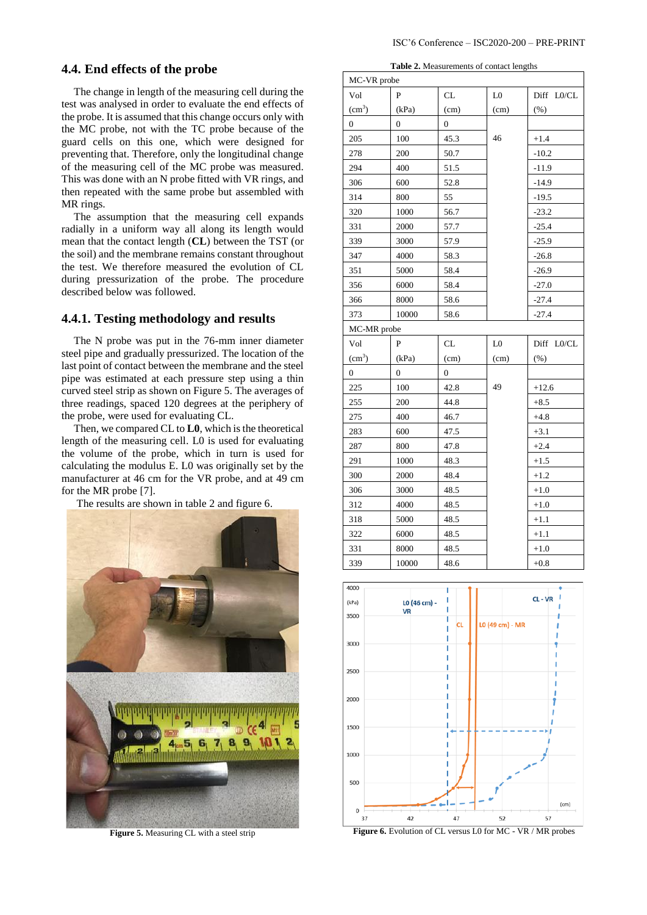### **4.4. End effects of the probe**

The change in length of the measuring cell during the test was analysed in order to evaluate the end effects of the probe. It is assumed that this change occurs only with the MC probe, not with the TC probe because of the guard cells on this one, which were designed for preventing that. Therefore, only the longitudinal change of the measuring cell of the MC probe was measured. This was done with an N probe fitted with VR rings, and then repeated with the same probe but assembled with MR rings.

The assumption that the measuring cell expands radially in a uniform way all along its length would mean that the contact length (**CL**) between the TST (or the soil) and the membrane remains constant throughout the test. We therefore measured the evolution of CL during pressurization of the probe. The procedure described below was followed.

## **4.4.1. Testing methodology and results**

The N probe was put in the 76-mm inner diameter steel pipe and gradually pressurized. The location of the last point of contact between the membrane and the steel pipe was estimated at each pressure step using a thin curved steel strip as shown on Figure 5. The averages of three readings, spaced 120 degrees at the periphery of the probe, were used for evaluating CL.

Then, we compared CL to **L0**, which is the theoretical length of the measuring cell. L0 is used for evaluating the volume of the probe, which in turn is used for calculating the modulus E. L0 was originally set by the manufacturer at 46 cm for the VR probe, and at 49 cm for the MR probe [7].

The results are shown in table 2 and figure 6.



**Figure 5.** Measuring CL with a steel strip

**Table 2.** Measurements of contact lengths

| MC-VR probe        |                  |                  |                |            |  |  |  |  |  |
|--------------------|------------------|------------------|----------------|------------|--|--|--|--|--|
| Vol                | P                | CL               | L <sub>0</sub> | Diff L0/CL |  |  |  |  |  |
| (cm <sup>3</sup> ) | (kPa)            | (cm)             | (cm)           | $(\% )$    |  |  |  |  |  |
| $\overline{0}$     | $\overline{0}$   | 0                |                |            |  |  |  |  |  |
| 205                | 100              | 45.3             | 46             | $+1.4$     |  |  |  |  |  |
| 278                | 200              | 50.7             |                | $-10.2$    |  |  |  |  |  |
| 294                | 400              | 51.5             |                | $-11.9$    |  |  |  |  |  |
| 306                | 600              | 52.8             |                | $-14.9$    |  |  |  |  |  |
| 314                | 800              | 55               |                | -19.5      |  |  |  |  |  |
| 320                | 1000             | 56.7             |                | $-23.2$    |  |  |  |  |  |
| 331                | 2000             | 57.7             |                | $-25.4$    |  |  |  |  |  |
| 339                | 3000             | 57.9             |                | $-25.9$    |  |  |  |  |  |
| 347                | 4000             | 58.3             |                | $-26.8$    |  |  |  |  |  |
| 351                | 5000             | 58.4             |                | $-26.9$    |  |  |  |  |  |
| 356                | 6000             | 58.4             |                | $-27.0$    |  |  |  |  |  |
| 366                | 8000             | 58.6             |                | $-27.4$    |  |  |  |  |  |
| 373                | 10000            | 58.6             |                | $-27.4$    |  |  |  |  |  |
|                    | MC-MR probe      |                  |                |            |  |  |  |  |  |
|                    |                  |                  |                |            |  |  |  |  |  |
| Vol                | P                | CL               | L <sub>0</sub> | Diff L0/CL |  |  |  |  |  |
| (cm <sup>3</sup> ) | (kPa)            | (cm)             | (cm)           | $(\%)$     |  |  |  |  |  |
| $\overline{0}$     | $\boldsymbol{0}$ | $\boldsymbol{0}$ |                |            |  |  |  |  |  |
| 225                | 100              | 42.8             | 49             | $+12.6$    |  |  |  |  |  |
| 255                | 200              | 44.8             |                | $+8.5$     |  |  |  |  |  |
| 275                | 400              | 46.7             |                | $+4.8$     |  |  |  |  |  |
| 283                | 600              | 47.5             |                | $+3.1$     |  |  |  |  |  |
| 287                | 800              | 47.8             |                | $+2.4$     |  |  |  |  |  |
| 291                | 1000             | 48.3             |                | $+1.5$     |  |  |  |  |  |
| 300                | 2000             | 48.4             |                | $+1.2$     |  |  |  |  |  |
| 306                | 3000             | 48.5             |                | $+1.0$     |  |  |  |  |  |
| 312                | 4000             | 48.5             |                | $+1.0$     |  |  |  |  |  |
| 318                | 5000             | 48.5             |                | $+1.1$     |  |  |  |  |  |
| 322                | 6000             | 48.5             |                | $+1.1$     |  |  |  |  |  |
| 331                | 8000             | 48.5             |                | $+1.0$     |  |  |  |  |  |
| 339                | 10000            | 48.6             |                | $+0.8$     |  |  |  |  |  |
| 4000               |                  |                  |                |            |  |  |  |  |  |



**Figure 6.** Evolution of CL versus L0 for MC - VR / MR probes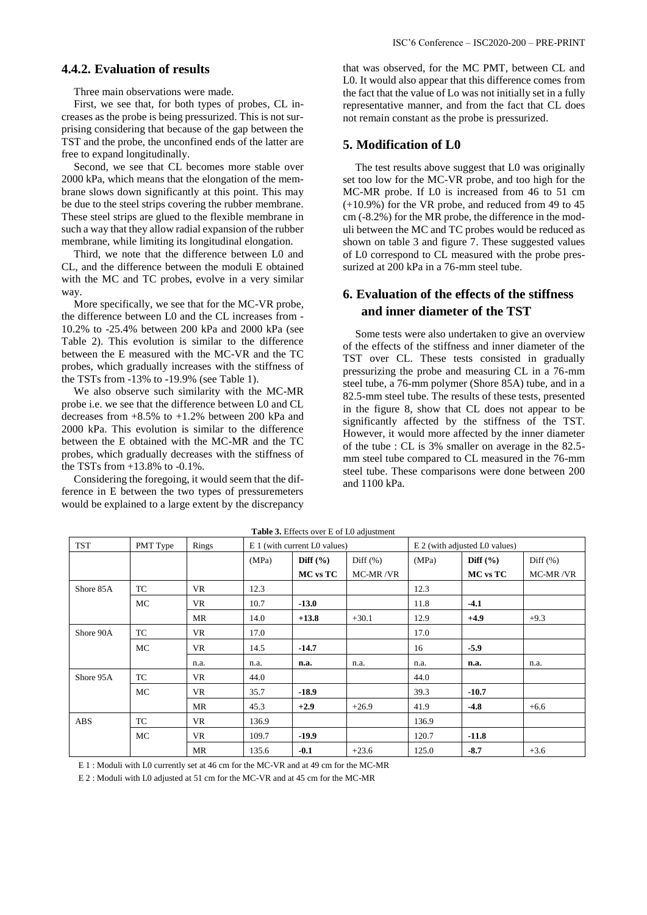## **4.4.2. Evaluation of results**

Three main observations were made.

First, we see that, for both types of probes, CL increases as the probe is being pressurized. This is not surprising considering that because of the gap between the TST and the probe, the unconfined ends of the latter are free to expand longitudinally.

Second, we see that CL becomes more stable over 2000 kPa, which means that the elongation of the membrane slows down significantly at this point. This may be due to the steel strips covering the rubber membrane. These steel strips are glued to the flexible membrane in such a way that they allow radial expansion of the rubber membrane, while limiting its longitudinal elongation.

Third, we note that the difference between L0 and CL, and the difference between the moduli E obtained with the MC and TC probes, evolve in a very similar way.

More specifically, we see that for the MC-VR probe, the difference between L0 and the CL increases from - 10.2% to -25.4% between 200 kPa and 2000 kPa (see Table 2). This evolution is similar to the difference between the E measured with the MC-VR and the TC probes, which gradually increases with the stiffness of the TSTs from -13% to -19.9% (see Table 1).

We also observe such similarity with the MC-MR probe i.e. we see that the difference between L0 and CL decreases from +8.5% to +1.2% between 200 kPa and 2000 kPa. This evolution is similar to the difference between the E obtained with the MC-MR and the TC probes, which gradually decreases with the stiffness of the TSTs from +13.8% to -0.1%.

Considering the foregoing, it would seem that the difference in E between the two types of pressuremeters would be explained to a large extent by the discrepancy that was observed, for the MC PMT, between CL and L0. It would also appear that this difference comes from the fact that the value of Lo was not initially set in a fully representative manner, and from the fact that CL does not remain constant as the probe is pressurized.

## **5. Modification of L0**

The test results above suggest that L0 was originally set too low for the MC-VR probe, and too high for the MC-MR probe. If L0 is increased from 46 to 51 cm (+10.9%) for the VR probe, and reduced from 49 to 45 cm (-8.2%) for the MR probe, the difference in the moduli between the MC and TC probes would be reduced as shown on table 3 and figure 7. These suggested values of L0 correspond to CL measured with the probe pressurized at 200 kPa in a 76-mm steel tube.

# **6. Evaluation of the effects of the stiffness and inner diameter of the TST**

Some tests were also undertaken to give an overview of the effects of the stiffness and inner diameter of the TST over CL. These tests consisted in gradually pressurizing the probe and measuring CL in a 76-mm steel tube, a 76-mm polymer (Shore 85A) tube, and in a 82.5-mm steel tube. The results of these tests, presented in the figure 8, show that CL does not appear to be significantly affected by the stiffness of the TST. However, it would more affected by the inner diameter of the tube : CL is 3% smaller on average in the 82.5 mm steel tube compared to CL measured in the 76-mm steel tube. These comparisons were done between 200 and 1100 kPa.

| <b>TST</b> | PMT Type  | Rings     | E 1 (with current L0 values) |              |              | E 2 (with adjusted L0 values) |                 |              |
|------------|-----------|-----------|------------------------------|--------------|--------------|-------------------------------|-----------------|--------------|
|            |           |           | (MPa)                        | Diff $(\% )$ | Diff $(\% )$ | (MPa)                         | Diff $(\% )$    | Diff $(\% )$ |
|            |           |           |                              | MC vs TC     | MC-MR/VR     |                               | <b>MC</b> vs TC | MC-MR/VR     |
| Shore 85A  | TC        | <b>VR</b> | 12.3                         |              |              | 12.3                          |                 |              |
|            | <b>MC</b> | <b>VR</b> | 10.7                         | $-13.0$      |              | 11.8                          | $-4.1$          |              |
|            |           | MR        | 14.0                         | $+13.8$      | $+30.1$      | 12.9                          | $+4.9$          | $+9.3$       |
| Shore 90A  | TC        | VR        | 17.0                         |              |              | 17.0                          |                 |              |
|            | <b>MC</b> | <b>VR</b> | 14.5                         | $-14.7$      |              | 16                            | $-5.9$          |              |
|            |           | n.a.      | n.a.                         | n.a.         | n.a.         | n.a.                          | n.a.            | n.a.         |
| Shore 95A  | TC        | <b>VR</b> | 44.0                         |              |              | 44.0                          |                 |              |
|            | <b>MC</b> | <b>VR</b> | 35.7                         | $-18.9$      |              | 39.3                          | $-10.7$         |              |
|            |           | <b>MR</b> | 45.3                         | $+2.9$       | $+26.9$      | 41.9                          | $-4.8$          | $+6.6$       |
| <b>ABS</b> | TC        | <b>VR</b> | 136.9                        |              |              | 136.9                         |                 |              |
|            | <b>MC</b> | <b>VR</b> | 109.7                        | $-19.9$      |              | 120.7                         | $-11.8$         |              |
|            |           | <b>MR</b> | 135.6                        | $-0.1$       | $+23.6$      | 125.0                         | $-8.7$          | $+3.6$       |

**Table 3.** Effects over E of L0 adjustment

E 1 : Moduli with L0 currently set at 46 cm for the MC-VR and at 49 cm for the MC-MR

E 2 : Moduli with L0 adjusted at 51 cm for the MC-VR and at 45 cm for the MC-MR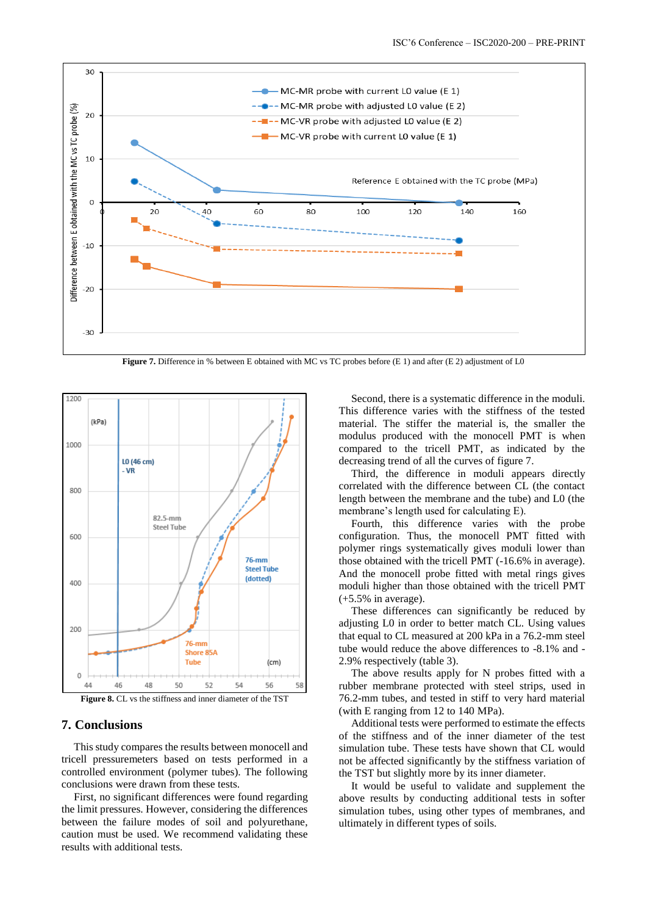

**Figure 7.** Difference in % between E obtained with MC vs TC probes before (E 1) and after (E 2) adjustment of L0



#### **7. Conclusions**

This study compares the results between monocell and tricell pressuremeters based on tests performed in a controlled environment (polymer tubes). The following conclusions were drawn from these tests.

First, no significant differences were found regarding the limit pressures. However, considering the differences between the failure modes of soil and polyurethane, caution must be used. We recommend validating these results with additional tests.

Second, there is a systematic difference in the moduli. This difference varies with the stiffness of the tested material. The stiffer the material is, the smaller the modulus produced with the monocell PMT is when compared to the tricell PMT, as indicated by the decreasing trend of all the curves of figure 7.

Third, the difference in moduli appears directly correlated with the difference between CL (the contact length between the membrane and the tube) and L0 (the membrane's length used for calculating E).

Fourth, this difference varies with the probe configuration. Thus, the monocell PMT fitted with polymer rings systematically gives moduli lower than those obtained with the tricell PMT (-16.6% in average). And the monocell probe fitted with metal rings gives moduli higher than those obtained with the tricell PMT (+5.5% in average).

These differences can significantly be reduced by adjusting L0 in order to better match CL. Using values that equal to CL measured at 200 kPa in a 76.2-mm steel tube would reduce the above differences to -8.1% and - 2.9% respectively (table 3).

The above results apply for N probes fitted with a rubber membrane protected with steel strips, used in 76.2-mm tubes, and tested in stiff to very hard material (with E ranging from 12 to 140 MPa).

Additional tests were performed to estimate the effects of the stiffness and of the inner diameter of the test simulation tube. These tests have shown that CL would not be affected significantly by the stiffness variation of the TST but slightly more by its inner diameter.

It would be useful to validate and supplement the above results by conducting additional tests in softer simulation tubes, using other types of membranes, and ultimately in different types of soils.